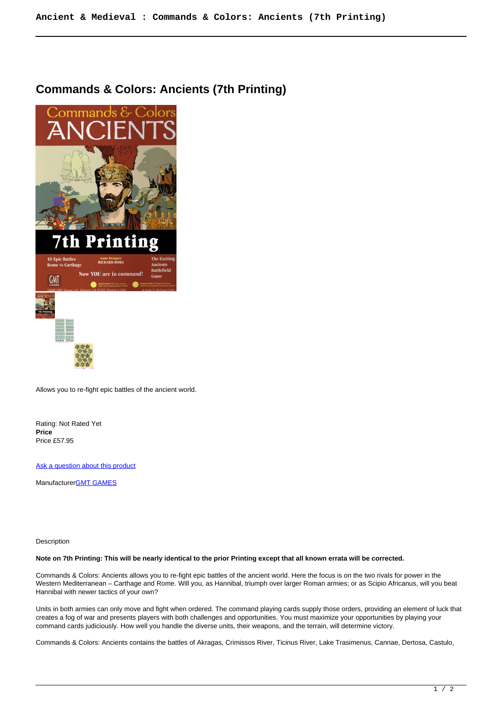## **Commands & Colors: Ancients (7th Printing)**



Allows you to re-fight epic battles of the ancient world.

Rating: Not Rated Yet **Price**  Price £57.95

[Ask a question about this product](https://www.secondchancegames.com/index.php?option=com_virtuemart&view=productdetails&task=askquestion&virtuemart_product_id=13207&virtuemart_category_id=8&tmpl=component)

Manufacturer[GMT GAMES](https://www.secondchancegames.com/index.php?option=com_virtuemart&view=manufacturer&virtuemart_manufacturer_id=2519&tmpl=component)

Description

## **Note on 7th Printing: This will be nearly identical to the prior Printing except that all known errata will be corrected.**

Commands & Colors: Ancients allows you to re-fight epic battles of the ancient world. Here the focus is on the two rivals for power in the Western Mediterranean – Carthage and Rome. Will you, as Hannibal, triumph over larger Roman armies; or as Scipio Africanus, will you beat Hannibal with newer tactics of your own?

Units in both armies can only move and fight when ordered. The command playing cards supply those orders, providing an element of luck that creates a fog of war and presents players with both challenges and opportunities. You must maximize your opportunities by playing your command cards judiciously. How well you handle the diverse units, their weapons, and the terrain, will determine victory.

Commands & Colors: Ancients contains the battles of Akragas, Crimissos River, Ticinus River, Lake Trasimenus, Cannae, Dertosa, Castulo,